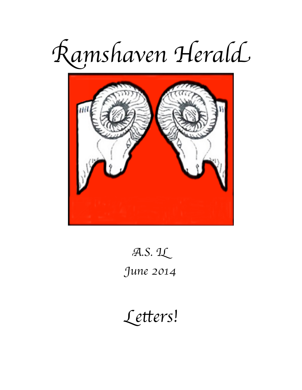



 $A.S. 11$ 

June 2014

Letters!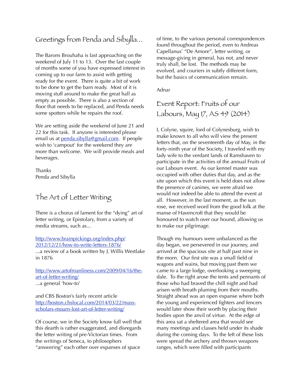# Greetings from Penda and Sibylla...

The Barons Brouhaha is fast approaching on the weekend of July 11 to 13. Over the last couple of months some of you have expressed interest in coming up to our farm to assist with getting ready for the event. There is quite a bit of work to be done to get the barn ready. Most of it is moving stuff around to make the great hall as empty as possible. There is also a section of floor that needs to be replaced, and Penda needs some spotters while he repairs the roof.

We are setting aside the weekend of June 21 and 22 for this task. If anyone is interested please email us at [penda.sibylla@gmail.com](mailto:penda.sibylla@gmail.com). If people wish to 'campout' for the weekend they are more than welcome. We will provide meals and beverages.

Thanks Penda and Sibylla

# The Art of Letter Writing

There is a chorus of lament for the "dying" art of letter writing, or Epistolary, from a variety of media streams, such as...

[http://www.brainpickings.org/index.php/](http://www.brainpickings.org/index.php/2012/12/21/how-to-write-letters-1876/) [2012/12/21/how-to-write-letters-1876/](http://www.brainpickings.org/index.php/2012/12/21/how-to-write-letters-1876/)

...a review of a book written by J. Willis Westlake in 1876

[http://www.artofmanliness.com/2009/04/16/the](http://www.artofmanliness.com/2009/04/16/the-art-of-letter-writing/)[art-of-letter-writing/](http://www.artofmanliness.com/2009/04/16/the-art-of-letter-writing/) ...a general 'how-to'

and CBS Boston's fairly recent article [http://boston.cbslocal.com/2014/03/22/mass](http://boston.cbslocal.com/2014/03/22/mass-scholars-mourn-lost-art-of-letter-writing/)[scholars-mourn-lost-art-of-letter-writing/](http://boston.cbslocal.com/2014/03/22/mass-scholars-mourn-lost-art-of-letter-writing/)

Of course, we in the Society know full well that this dearth is rather exaggerated, and disregards the letter writing of pre-Victorian times. From the writings of Seneca, to philosophers "answering" each other over expanses of space

of time, to the various personal correspondences found throughout the period, even to Andreas Capellanus' "De Amore", letter writing, or message-giving in general, has not, and never truly shall, be lost. The methods may be evolved, and couriers in subtly different form, but the basics of communication remain.

Adnar

Event Report: Fruits of our Labours, May 17, AS 49 (2014)

I, Colyne, squire, lord of Colynesburg, wish to make known to all who will view the present letters that, on the seventeenth day of May, in the forty-ninth year of the Society, I traveled with my lady wife to the verdant lands of Ramshaven to participate in the activities of the annual Fruits of our Labours event. As our kennel master was occupied with other duties that day, and as the site upon which this event is held does not allow the presence of canines, we were afraid we would not indeed be able to attend the event at all. However, in the last moment, as the sun rose, we received word from the good folk at the manse of Havencroft that they would be honoured to watch over our hound, allowing us to make our pilgrimage.

Though my humours were unbalanced as the day began, we persevered in our journey, and arrived at the spacious site at half past nine in the morn. Our first site was a small field of wagons and wains, but moving past them we came to a large lodge, overlooking a sweeping dale. To the right arose the tents and pennants of those who had braved the chill night and had arisen with breath pluming from their mouths. Straight ahead was an open expanse where both the young and experienced fighters and fencers would later show their worth by placing their bodies upon the anvil of virtue. At the edge of this area sat a sheltered area that would see many meetings and classes held under its shade during the coming days. To the left of these lists were spread the archery and thrown weapons ranges, which were filled with participants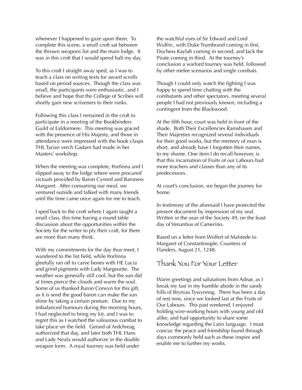whenever I happened to gaze upon them. To complete this scene, a small croft sat between the thrown weapons list and the main lodge. It was in this croft that I would spend half my day.

To this croft I straight away sped, as I was to teach a class on writing texts for award scrolls based on period sources. Though the class was small, the participants were enthusiastic, and I believe and hope that the College of Scribes will shortly gain new scriveners to their ranks.

Following this class I remained in the croft to participate in a meeting of the Bookbinders Guild of Ealdormere. This meeting was graced with the presence of His Majesty, and those in attendance were impressed with the book clasps THL Tarian verch Gadarn had made in her Masters' workshop.

When the meeting was complete, Þorfinna and I slipped away to the lodge where were procured victuals provided by Baron Cynred and Baroness Margaret. After consuming our meal, we ventured outside and talked with many friends until the time came once again for me to teach.

I sped back to the croft where I again taught a small class, this time having a round table discussion about the opportunities within the Society for the writer to ply their craft, for there are more than many think.

With my commitments for the day thus meet, I wandered to the list field, while Þorfinna gleefully ran off to carve bones with HE Lucia and grind pigments with Lady Margeurite. The weather was generally still cool, but the sun did at times pierce the clouds and warm the soul. Some of us thanked Baron Corwyn for this gift, as it is send the good baron can make the sun shine by taking a certain posture. Due to my imbalanced humours during the morning hours, I had neglected to bring my kit, and I was to regret this as I watched the valourous combat to take place on the field. Gerard of Ardchreag authorized that day, and later both THL Hans and Lady Neala would authorize in the double weapon form. A royal tourney was held under

the watchful eyes of Sir Edward and Lord Wulfric, with Duke Trumbrand coming in first, Duchess Kaylah coming in second, and Jack the Pirate coming in third. At the tourney's conclusion a warlord tourney was held, followed by other melee scenarios and single combats.

Though I could only watch the fighting I was happy to spend time chatting with the combatants and other spectators, meeting several people I had not previously known, including a contingent from the Blackwood.

At the fifth hour, court was held in front of the shade. Both Their Excellencies Ramshaven and Their Majesties recognized several individuals for their good works, but the memory of man is short, and already have I forgotten their names, to my shame. One item I do recall however, is that this incarnation of Fruits of our Labours had more teachers and classes than any of its predecessors.

At court's conclusion, we began the journey for home.

In testimony of the aforesaid I have protected the present document by impression of my seal. Written in the year of the Society 49, on the feast day of Venantius of Camerino.

Based on a letter from Wolfert of Malstede to Margaret of Constantinople, Countess of Flanders, August 21, 1248.

#### Thank You For Your Letter

Warm greetings and salutations from Adnar, as I break my fast in my humble abode in the sandy hills of Bryniau Tywynnog. There has been a day of rest now, since we looked last at the Fruits of Our Labours. This past weekend, I enjoyed holding wire-working hours with young and old alike, and had opportunity to share some knowledge regarding the Latin language. I must concur, the peace and friendship found through days commonly held such as these inspire and enable me to further my works.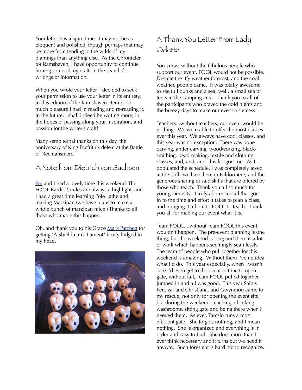Your letter has inspired me. I may not be as eloquent and polished, though perhaps that may be more from tending to the wilds of my plantings than anything else. As the Chronicler for Ramshaven, I have opportunity to continue honing some of my craft, in the search for writings or information.

When you wrote your letter, I decided to seek your permission to use your letter in its entirety, in this edition of the Ramshaven Herald, so much pleasure I had in reading and re-reading it. In the future, I shall indeed be writing more, in the hopes of passing along your inspiration, and passion for the writer's craft!

Many sempiternal thanks on this day, the anniversary of King Ecgfrith's defeat at the Battle of Nechtansmere.

### A Note from Dietrich von Sachsen

[Em](https://www.facebook.com/em.holbert) and I had a lovely time this weekend. The FOOL Bardic Circles are always a highlight, and I had a great time learning Pole Lathe and making Marzipan (we have plans to make a whole bunch of marzipan mice.) Thanks to all those who made this happen.

Oh, and thank you to his Grace [Mark Patchett](https://www.facebook.com/mark.patchett.79) for getting "A Shieldman's Lament" firmly lodged in my head.



# A Thank You Letter From Lady Odette

You know, without the fabulous people who support our event, FOOL would not be possible. Despite the iffy weather forecast, and the cool weather, people came. It was totally awesome to see full bunks and a sea, well, a small sea of tents in the camping area. Thank you to all of the participants who braved the cold nights and the breezy days to make our event a success.

Teachers...without teachers, our event would be nothing. We were able to offer the most classes ever this year. We always have cool classes, and this year was no exception. There was bone carving, antler carving, woodworking, blacksmithing, bead-making, textile and clothing classes, and, and, and, this list goes on. As I populated the schedule, I was completely awed at the skills we have here in Ealdormere, and the generous sharing of said skills that are offered by those who teach. Thank you all so much for your generosity. I truly appreciate all that goes in to the time and effort it takes to plan a class, and bringing it all out to FOOL to teach. Thank you all for making our event what it is.

Team FOOL....without Team FOOL this event wouldn't happen. The pre-event planning is one thing, but the weekend is long and there is a lot of work which happens seemingly seamlessly. The team of people who pull together for this weekend is amazing. Without them I've no idea what I'd do. This year especially, when I wasn't sure I'd even get to the event in time to open gate, without fail, Team FOOL pulled together, jumped in and all was good. This year Saints Percival and Christiana, and Gwyndion came to my rescue, not only for opening the event site, but during the weekend, teaching, checking washrooms, sitting gate and being there when I needed them. As ever, Tamsin runs a most efficient gate. She forgets nothing, and I mean nothing. She is organized and everything is in order and easy to find. She does more than I ever think necessary and it turns out we need it anyway. Such foresight is hard not to recognize.